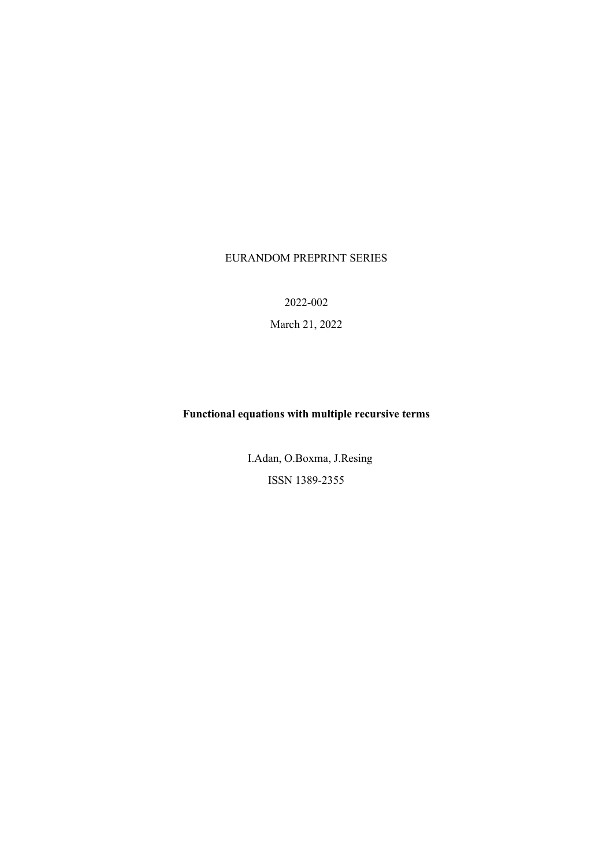# EURANDOM PREPRINT SERIES

2022-002

March 21, 2022

# **Functional equations with multiple recursive terms**

 I.Adan, O.Boxma, J.Resing ISSN 1389-2355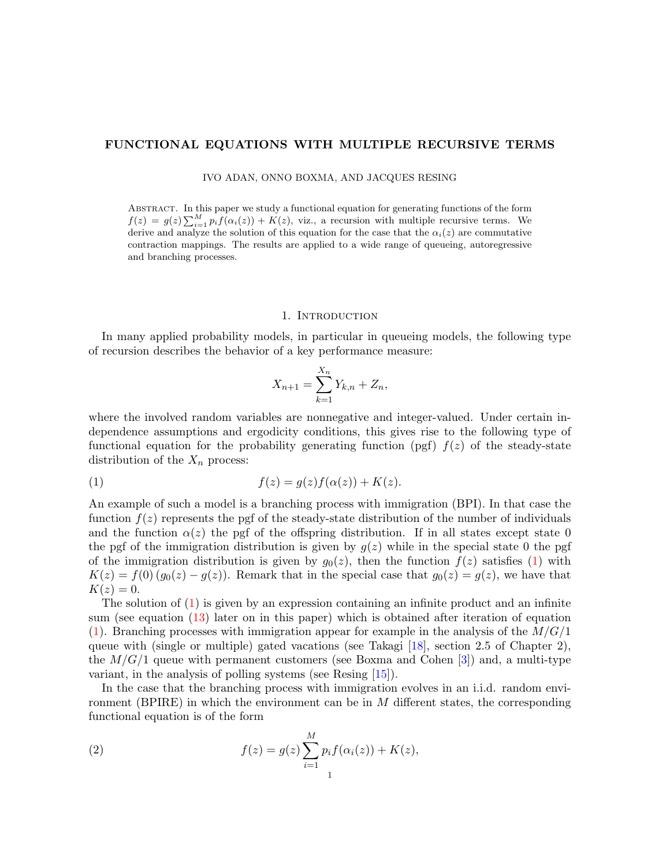# FUNCTIONAL EQUATIONS WITH MULTIPLE RECURSIVE TERMS

IVO ADAN, ONNO BOXMA, AND JACQUES RESING

Abstract. In this paper we study a functional equation for generating functions of the form  $f(z) = g(z) \sum_{i=1}^{M} p_i f(\alpha_i(z)) + K(z)$ , viz., a recursion with multiple recursive terms. We derive and analyze the solution of this equation for the case that the  $\alpha_i(z)$  are commutative contraction mappings. The results are applied to a wide range of queueing, autoregressive and branching processes.

#### 1. INTRODUCTION

In many applied probability models, in particular in queueing models, the following type of recursion describes the behavior of a key performance measure:

<span id="page-1-0"></span>
$$
X_{n+1} = \sum_{k=1}^{X_n} Y_{k,n} + Z_n,
$$

where the involved random variables are nonnegative and integer-valued. Under certain independence assumptions and ergodicity conditions, this gives rise to the following type of functional equation for the probability generating function (pgf)  $f(z)$  of the steady-state distribution of the  $X_n$  process:

$$
(1) \t\t f(z) = g(z)f(\alpha(z)) + K(z).
$$

An example of such a model is a branching process with immigration (BPI). In that case the function  $f(z)$  represents the pgf of the steady-state distribution of the number of individuals and the function  $\alpha(z)$  the pgf of the offspring distribution. If in all states except state 0 the pgf of the immigration distribution is given by  $q(z)$  while in the special state 0 the pgf of the immigration distribution is given by  $g_0(z)$ , then the function  $f(z)$  satisfies [\(1\)](#page-1-0) with  $K(z) = f(0) (g_0(z) - g(z))$ . Remark that in the special case that  $g_0(z) = g(z)$ , we have that  $K(z) = 0.$ 

The solution of  $(1)$  is given by an expression containing an infinite product and an infinite sum (see equation [\(13\)](#page-5-0) later on in this paper) which is obtained after iteration of equation  $(1)$ . Branching processes with immigration appear for example in the analysis of the  $M/G/1$ queue with (single or multiple) gated vacations (see Takagi [\[18\]](#page-14-0), section 2.5 of Chapter 2), the  $M/G/1$  queue with permanent customers (see Boxma and Cohen [\[3\]](#page-14-1)) and, a multi-type variant, in the analysis of polling systems (see Resing [\[15\]](#page-14-2)).

In the case that the branching process with immigration evolves in an i.i.d. random environment (BPIRE) in which the environment can be in  $M$  different states, the corresponding functional equation is of the form

<span id="page-1-1"></span>(2) 
$$
f(z) = g(z) \sum_{i=1}^{M} p_i f(\alpha_i(z)) + K(z),
$$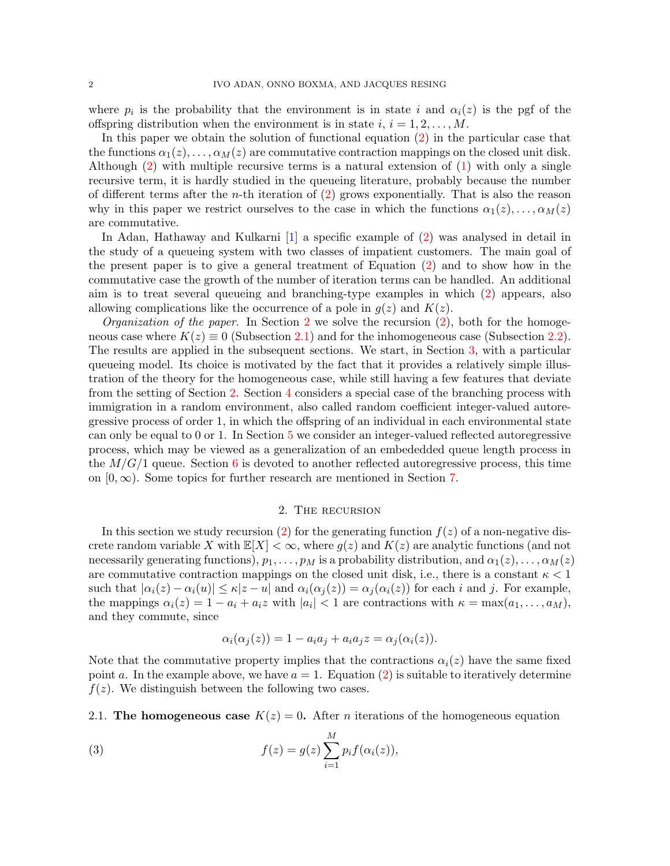where  $p_i$  is the probability that the environment is in state i and  $\alpha_i(z)$  is the pgf of the offspring distribution when the environment is in state  $i, i = 1, 2, \ldots, M$ .

In this paper we obtain the solution of functional equation [\(2\)](#page-1-1) in the particular case that the functions  $\alpha_1(z), \ldots, \alpha_M(z)$  are commutative contraction mappings on the closed unit disk. Although [\(2\)](#page-1-1) with multiple recursive terms is a natural extension of [\(1\)](#page-1-0) with only a single recursive term, it is hardly studied in the queueing literature, probably because the number of different terms after the *n*-th iteration of  $(2)$  grows exponentially. That is also the reason why in this paper we restrict ourselves to the case in which the functions  $\alpha_1(z), \ldots, \alpha_M(z)$ are commutative.

In Adan, Hathaway and Kulkarni [\[1\]](#page-14-3) a specific example of [\(2\)](#page-1-1) was analysed in detail in the study of a queueing system with two classes of impatient customers. The main goal of the present paper is to give a general treatment of Equation [\(2\)](#page-1-1) and to show how in the commutative case the growth of the number of iteration terms can be handled. An additional aim is to treat several queueing and branching-type examples in which [\(2\)](#page-1-1) appears, also allowing complications like the occurrence of a pole in  $q(z)$  and  $K(z)$ .

*Organization of the paper.* In Section [2](#page-2-0) we solve the recursion  $(2)$ , both for the homogeneous case where  $K(z) \equiv 0$  (Subsection [2.1\)](#page-2-1) and for the inhomogeneous case (Subsection [2.2\)](#page-5-1). The results are applied in the subsequent sections. We start, in Section [3,](#page-6-0) with a particular queueing model. Its choice is motivated by the fact that it provides a relatively simple illustration of the theory for the homogeneous case, while still having a few features that deviate from the setting of Section [2.](#page-2-0) Section [4](#page-8-0) considers a special case of the branching process with immigration in a random environment, also called random coefficient integer-valued autoregressive process of order 1, in which the offspring of an individual in each environmental state can only be equal to 0 or 1. In Section [5](#page-10-0) we consider an integer-valued reflected autoregressive process, which may be viewed as a generalization of an embededded queue length process in the  $M/G/1$  queue. Section [6](#page-11-0) is devoted to another reflected autoregressive process, this time on  $[0, \infty)$ . Some topics for further research are mentioned in Section [7.](#page-13-0)

#### 2. The recursion

<span id="page-2-0"></span>In this section we study recursion [\(2\)](#page-1-1) for the generating function  $f(z)$  of a non-negative discrete random variable X with  $\mathbb{E}[X] < \infty$ , where  $g(z)$  and  $K(z)$  are analytic functions (and not necessarily generating functions),  $p_1, \ldots, p_M$  is a probability distribution, and  $\alpha_1(z), \ldots, \alpha_M(z)$ are commutative contraction mappings on the closed unit disk, i.e., there is a constant  $\kappa < 1$ such that  $|\alpha_i(z) - \alpha_i(u)| \leq \kappa |z - u|$  and  $\alpha_i(\alpha_j(z)) = \alpha_j(\alpha_i(z))$  for each i and j. For example, the mappings  $\alpha_i(z) = 1 - a_i + a_i z$  with  $|a_i| < 1$  are contractions with  $\kappa = \max(a_1, \ldots, a_M)$ , and they commute, since

<span id="page-2-2"></span>
$$
\alpha_i(\alpha_j(z)) = 1 - a_i a_j + a_i a_j z = \alpha_j(\alpha_i(z)).
$$

Note that the commutative property implies that the contractions  $\alpha_i(z)$  have the same fixed point a. In the example above, we have  $a = 1$ . Equation [\(2\)](#page-1-1) is suitable to iteratively determine  $f(z)$ . We distinguish between the following two cases.

<span id="page-2-1"></span>2.1. The homogeneous case  $K(z) = 0$ . After *n* iterations of the homogeneous equation

(3) 
$$
f(z) = g(z) \sum_{i=1}^{M} p_i f(\alpha_i(z)),
$$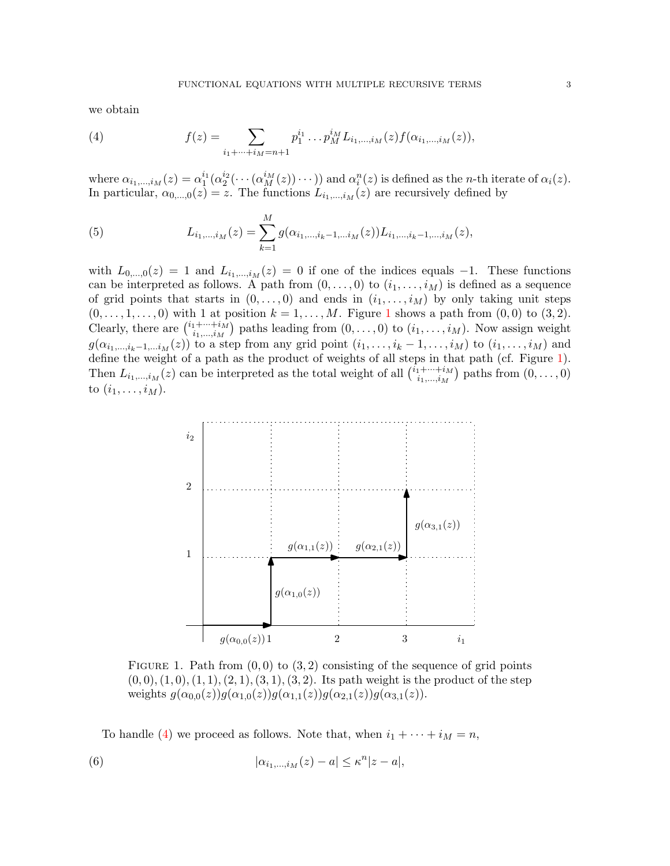we obtain

<span id="page-3-1"></span>(4) 
$$
f(z) = \sum_{i_1 + \dots + i_M = n+1} p_1^{i_1} \dots p_M^{i_M} L_{i_1, \dots, i_M}(z) f(\alpha_{i_1, \dots, i_M}(z)),
$$

where  $\alpha_{i_1,\dots,i_M}(z) = \alpha_1^{i_1}(\alpha_2^{i_2}(\dots(\alpha_M^{i_M}(z))\dots))$  and  $\alpha_i^n(z)$  is defined as the *n*-th iterate of  $\alpha_i(z)$ . In particular,  $\alpha_{0,\dots,0}(z) = z$ . The functions  $L_{i_1,\dots,i_M}(z)$  are recursively defined by

<span id="page-3-3"></span>(5) 
$$
L_{i_1,\dots,i_M}(z) = \sum_{k=1}^M g(\alpha_{i_1,\dots,i_k-1,\dots,i_M}(z)) L_{i_1,\dots,i_k-1,\dots,i_M}(z),
$$

with  $L_{0,...,0}(z) = 1$  and  $L_{i_1,...,i_M}(z) = 0$  if one of the indices equals -1. These functions can be interpreted as follows. A path from  $(0, \ldots, 0)$  to  $(i_1, \ldots, i_M)$  is defined as a sequence of grid points that starts in  $(0, \ldots, 0)$  and ends in  $(i_1, \ldots, i_M)$  by only taking unit steps  $(0, \ldots, 1, \ldots, 0)$  $(0, \ldots, 1, \ldots, 0)$  $(0, \ldots, 1, \ldots, 0)$  with 1 at position  $k = 1, \ldots, M$ . Figure 1 shows a path from  $(0, 0)$  to  $(3, 2)$ . Clearly, there are  $\binom{i_1+\cdots+i_M}{i_1-i_M}$  $\binom{i_1+\cdots+i_M}{i_1,\ldots,i_M}$  paths leading from  $(0,\ldots,0)$  to  $(i_1,\ldots,i_M)$ . Now assign weight  $g(\alpha_{i_1,\ldots,i_k-1,\ldots i_M}(z))$  to a step from any grid point  $(i_1,\ldots,i_k-1,\ldots,i_M)$  to  $(i_1,\ldots,i_M)$  and define the weight of a path as the product of weights of all steps in that path (cf. Figure [1\)](#page-3-0). Then  $L_{i_1,\dots,i_M}(z)$  can be interpreted as the total weight of all  $\binom{i_1+\dots+i_M}{i_1,\dots,i_M}$  $\binom{n_1 + \cdots + i_M}{i_1, \ldots, i_M}$  paths from  $(0, \ldots, 0)$ to  $(i_1, \ldots, i_M)$ .



<span id="page-3-0"></span>FIGURE 1. Path from  $(0, 0)$  to  $(3, 2)$  consisting of the sequence of grid points  $(0, 0), (1, 0), (1, 1), (2, 1), (3, 1), (3, 2)$ . Its path weight is the product of the step weights  $g(\alpha_{0,0}(z))g(\alpha_{1,0}(z))g(\alpha_{1,1}(z))g(\alpha_{2,1}(z))g(\alpha_{3,1}(z)).$ 

<span id="page-3-2"></span>To handle [\(4\)](#page-3-1) we proceed as follows. Note that, when  $i_1 + \cdots + i_M = n$ ,

(6) 
$$
|\alpha_{i_1,\ldots,i_M}(z)-a| \leq \kappa^n |z-a|,
$$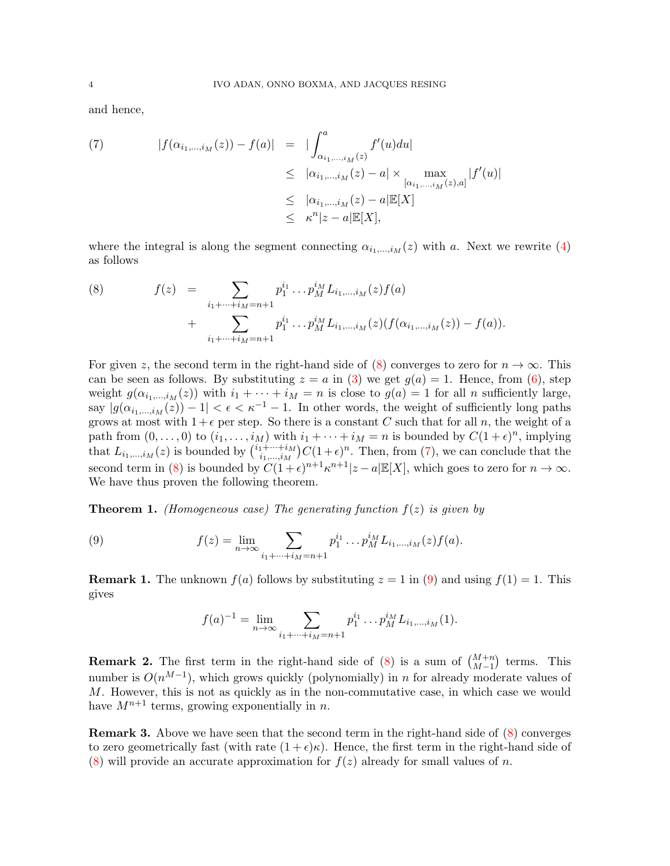and hence,

<span id="page-4-1"></span>(7) 
$$
|f(\alpha_{i_1,\dots,i_M}(z)) - f(a)| = |\int_{\alpha_{i_1,\dots,i_M}(z)}^a f'(u) du|
$$
  
\n
$$
\leq |\alpha_{i_1,\dots,i_M}(z) - a| \times \max_{[\alpha_{i_1,\dots,i_M}(z),a]} |f'(u)|
$$
  
\n
$$
\leq |\alpha_{i_1,\dots,i_M}(z) - a| \mathbb{E}[X],
$$
  
\n
$$
\leq \kappa^n |z - a| \mathbb{E}[X],
$$

where the integral is along the segment connecting  $\alpha_{i_1,\dots,i_M}(z)$  with a. Next we rewrite [\(4\)](#page-3-1) as follows

<span id="page-4-0"></span>(8) 
$$
f(z) = \sum_{i_1 + \dots + i_M = n+1} p_1^{i_1} \dots p_M^{i_M} L_{i_1, \dots, i_M}(z) f(a) + \sum_{i_1 + \dots + i_M = n+1} p_1^{i_1} \dots p_M^{i_M} L_{i_1, \dots, i_M}(z) (f(\alpha_{i_1, \dots, i_M}(z)) - f(a)).
$$

For given z, the second term in the right-hand side of [\(8\)](#page-4-0) converges to zero for  $n \to \infty$ . This can be seen as follows. By substituting  $z = a$  in [\(3\)](#page-2-2) we get  $g(a) = 1$ . Hence, from [\(6\)](#page-3-2), step weight  $g(\alpha_{i_1,\dots,i_M}(z))$  with  $i_1 + \dots + i_M = n$  is close to  $g(a) = 1$  for all n sufficiently large, say  $|g(\alpha_{i_1,\dots,i_M}(z)) - 1| < \epsilon < \kappa^{-1} - 1$ . In other words, the weight of sufficiently long paths grows at most with  $1+\epsilon$  per step. So there is a constant C such that for all n, the weight of a path from  $(0, \ldots, 0)$  to  $(i_1, \ldots, i_M)$  with  $i_1 + \cdots + i_M = n$  is bounded by  $C(1 + \epsilon)^n$ , implying that  $L_{i_1,\dots,i_M}(z)$  is bounded by  $\binom{i_1+\dots+i_M}{i_1,\dots,i_M}$  $\sum_{i_1,\dots,i_M}^{n_1+\dots+i_M} C(1+\epsilon)^n$ . Then, from [\(7\)](#page-4-1), we can conclude that the second term in [\(8\)](#page-4-0) is bounded by  $C(1+\epsilon)^{n+1} \kappa^{n+1} |z-a| \mathbb{E}[X]$ , which goes to zero for  $n \to \infty$ . We have thus proven the following theorem.

<span id="page-4-3"></span>**Theorem 1.** (Homogeneous case) The generating function  $f(z)$  is given by

(9) 
$$
f(z) = \lim_{n \to \infty} \sum_{i_1 + \dots + i_M = n+1} p_1^{i_1} \dots p_M^{i_M} L_{i_1, \dots, i_M}(z) f(a).
$$

**Remark 1.** The unknown  $f(a)$  follows by substituting  $z = 1$  in [\(9\)](#page-4-2) and using  $f(1) = 1$ . This gives

<span id="page-4-2"></span>
$$
f(a)^{-1} = \lim_{n \to \infty} \sum_{i_1 + \dots + i_M = n+1} p_1^{i_1} \dots p_M^{i_M} L_{i_1, \dots, i_M}(1).
$$

**Remark 2.** The first term in the right-hand side of [\(8\)](#page-4-0) is a sum of  $\binom{M+n}{M-1}$  terms. This number is  $O(n^{M-1})$ , which grows quickly (polynomially) in n for already moderate values of  $M$ . However, this is not as quickly as in the non-commutative case, in which case we would have  $M^{n+1}$  terms, growing exponentially in n.

Remark 3. Above we have seen that the second term in the right-hand side of [\(8\)](#page-4-0) converges to zero geometrically fast (with rate  $(1 + \epsilon)\kappa$ ). Hence, the first term in the right-hand side of [\(8\)](#page-4-0) will provide an accurate approximation for  $f(z)$  already for small values of n.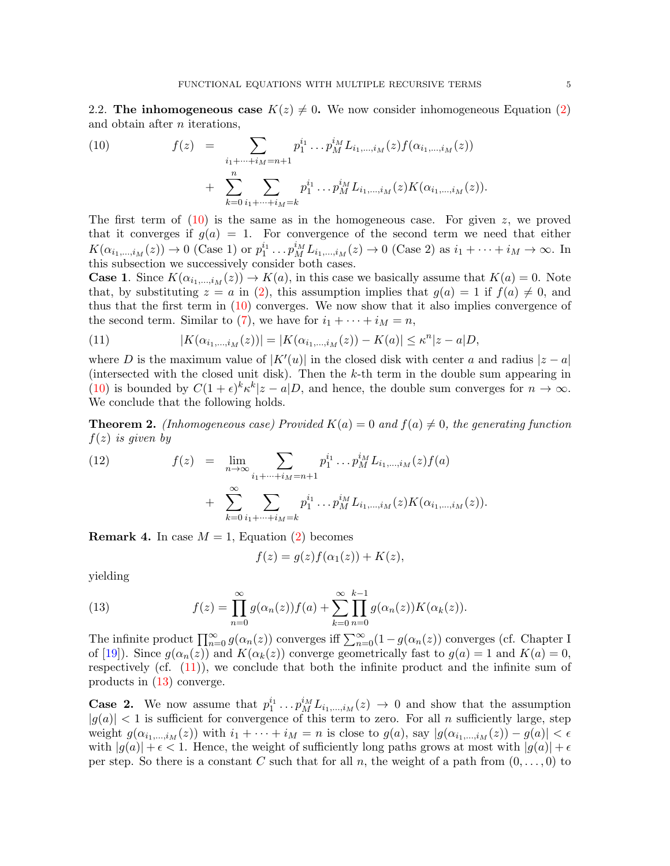<span id="page-5-1"></span>2.2. The inhomogeneous case  $K(z) \neq 0$ . We now consider inhomogeneous Equation [\(2\)](#page-1-1) and obtain after n iterations,

<span id="page-5-2"></span>(10) 
$$
f(z) = \sum_{\substack{i_1 + \dots + i_M = n+1 \\ n}} p_1^{i_1} \dots p_M^{i_M} L_{i_1, \dots, i_M}(z) f(\alpha_{i_1, \dots, i_M}(z)) + \sum_{k=0}^n \sum_{i_1 + \dots + i_M = k} p_1^{i_1} \dots p_M^{i_M} L_{i_1, \dots, i_M}(z) K(\alpha_{i_1, \dots, i_M}(z)).
$$

The first term of  $(10)$  is the same as in the homogeneous case. For given z, we proved that it converges if  $g(a) = 1$ . For convergence of the second term we need that either  $K(\alpha_{i_1,...,i_M}(z)) \to 0$  (Case 1) or  $p_1^{i_1} \dots p_M^{i_M} L_{i_1,...,i_M}(z) \to 0$  (Case 2) as  $i_1 + \dots + i_M \to \infty$ . In this subsection we successively consider both cases.

**Case 1.** Since  $K(\alpha_{i_1,\ldots,i_M}(z)) \to K(a)$ , in this case we basically assume that  $K(a) = 0$ . Note that, by substituting  $z = a$  in [\(2\)](#page-1-1), this assumption implies that  $g(a) = 1$  if  $f(a) \neq 0$ , and thus that the first term in [\(10\)](#page-5-2) converges. We now show that it also implies convergence of the second term. Similar to [\(7\)](#page-4-1), we have for  $i_1 + \cdots + i_M = n$ ,

<span id="page-5-3"></span>(11) 
$$
|K(\alpha_{i_1,\dots,i_M}(z))| = |K(\alpha_{i_1,\dots,i_M}(z)) - K(a)| \leq \kappa^n |z - a|D,
$$

where D is the maximum value of  $|K'(u)|$  in the closed disk with center a and radius  $|z - a|$ (intersected with the closed unit disk). Then the k-th term in the double sum appearing in [\(10\)](#page-5-2) is bounded by  $C(1+\epsilon)^k \kappa^k |z-a|D$ , and hence, the double sum converges for  $n \to \infty$ . We conclude that the following holds.

<span id="page-5-4"></span>**Theorem 2.** (Inhomogeneous case) Provided  $K(a) = 0$  and  $f(a) \neq 0$ , the generating function  $f(z)$  is given by

(12) 
$$
f(z) = \lim_{n \to \infty} \sum_{i_1 + \dots + i_M = n+1} p_1^{i_1} \dots p_M^{i_M} L_{i_1, \dots, i_M}(z) f(a) + \sum_{k=0}^{\infty} \sum_{i_1 + \dots + i_M = k} p_1^{i_1} \dots p_M^{i_M} L_{i_1, \dots, i_M}(z) K(\alpha_{i_1, \dots, i_M}(z)).
$$

**Remark 4.** In case  $M = 1$ , Equation [\(2\)](#page-1-1) becomes

<span id="page-5-0"></span>
$$
f(z) = g(z)f(\alpha_1(z)) + K(z),
$$

yielding

(13) 
$$
f(z) = \prod_{n=0}^{\infty} g(\alpha_n(z)) f(a) + \sum_{k=0}^{\infty} \prod_{n=0}^{k-1} g(\alpha_n(z)) K(\alpha_k(z)).
$$

The infinite product  $\prod_{n=0}^{\infty} g(\alpha_n(z))$  converges iff  $\sum_{n=0}^{\infty} (1 - g(\alpha_n(z))$  converges (cf. Chapter I of [\[19\]](#page-14-4)). Since  $g(\alpha_n(z))$  and  $K(\alpha_k(z))$  converge geometrically fast to  $g(a) = 1$  and  $K(a) = 0$ , respectively (cf. [\(11\)](#page-5-3)), we conclude that both the infinite product and the infinite sum of products in [\(13\)](#page-5-0) converge.

**Case 2.** We now assume that  $p_1^{i_1} \tldots p_M^{i_M} L_{i_1,\dots,i_M}(z) \to 0$  and show that the assumption  $|g(a)| < 1$  is sufficient for convergence of this term to zero. For all n sufficiently large, step weight  $g(\alpha_{i_1,\dots,i_M}(z))$  with  $i_1 + \dots + i_M = n$  is close to  $g(a)$ , say  $|g(\alpha_{i_1,\dots,i_M}(z)) - g(a)| < \epsilon$ with  $|g(a)| + \epsilon < 1$ . Hence, the weight of sufficiently long paths grows at most with  $|g(a)| + \epsilon$ per step. So there is a constant C such that for all n, the weight of a path from  $(0, \ldots, 0)$  to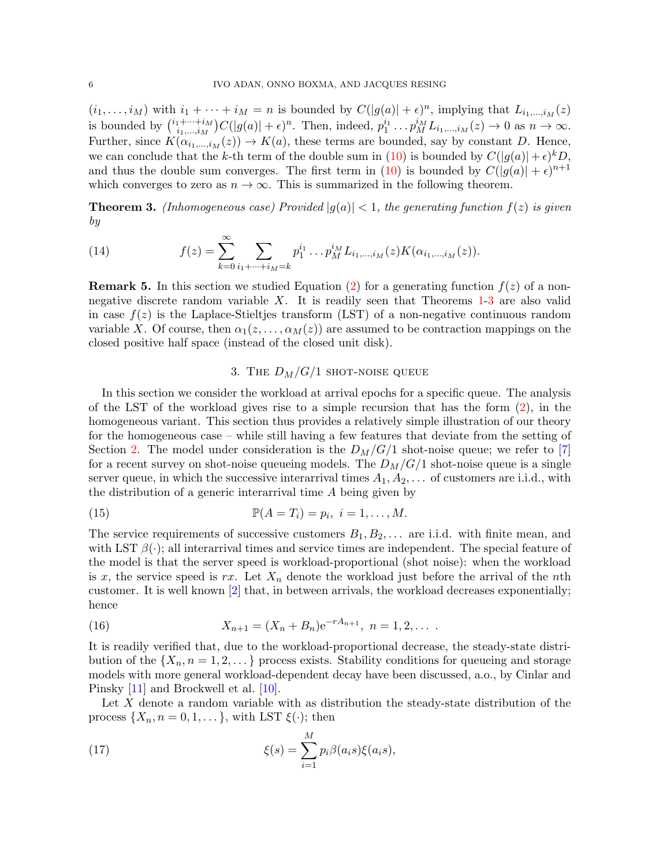$(i_1, \ldots, i_M)$  with  $i_1 + \cdots + i_M = n$  is bounded by  $C(|g(a)| + \epsilon)^n$ , implying that  $L_{i_1,\ldots,i_M}(z)$ is bounded by  $\binom{i_1+\cdots+i_M}{i_1+i_M}$  $i_1^{1+\cdots+i_M}C(|g(a)|+\epsilon)^n$ . Then, indeed,  $p_1^{i_1} \ldots p_M^{i_M}L_{i_1,\ldots,i_M}(z) \to 0$  as  $n \to \infty$ . Further, since  $K(\alpha_{i_1,\dots,i_M}(z)) \to K(a)$ , these terms are bounded, say by constant D. Hence, we can conclude that the k-th term of the double sum in [\(10\)](#page-5-2) is bounded by  $C(|g(a)| + \epsilon)^k D$ , and thus the double sum converges. The first term in [\(10\)](#page-5-2) is bounded by  $C(|g(a)| + \epsilon)^{n+1}$ which converges to zero as  $n \to \infty$ . This is summarized in the following theorem.

<span id="page-6-1"></span>**Theorem 3.** (Inhomogeneous case) Provided  $|g(a)| < 1$ , the generating function  $f(z)$  is given by

(14) 
$$
f(z) = \sum_{k=0}^{\infty} \sum_{i_1 + \dots + i_M = k} p_1^{i_1} \dots p_M^{i_M} L_{i_1, \dots, i_M}(z) K(\alpha_{i_1, \dots, i_M}(z)).
$$

**Remark 5.** In this section we studied Equation [\(2\)](#page-1-1) for a generating function  $f(z)$  of a nonnegative discrete random variable  $X$ . It is readily seen that Theorems  $1-3$  $1-3$  are also valid in case  $f(z)$  is the Laplace-Stieltjes transform (LST) of a non-negative continuous random variable X. Of course, then  $\alpha_1(z, \ldots, \alpha_M(z))$  are assumed to be contraction mappings on the closed positive half space (instead of the closed unit disk).

# <span id="page-6-3"></span>3. THE  $D_M/G/1$  SHOT-NOISE QUEUE

<span id="page-6-0"></span>In this section we consider the workload at arrival epochs for a specific queue. The analysis of the LST of the workload gives rise to a simple recursion that has the form [\(2\)](#page-1-1), in the homogeneous variant. This section thus provides a relatively simple illustration of our theory for the homogeneous case – while still having a few features that deviate from the setting of Section [2.](#page-2-0) The model under consideration is the  $D_M/G/1$  shot-noise queue; we refer to [\[7\]](#page-14-5) for a recent survey on shot-noise queueing models. The  $D_M/G/1$  shot-noise queue is a single server queue, in which the successive interarrival times  $A_1, A_2, \ldots$  of customers are i.i.d., with the distribution of a generic interarrival time A being given by

(15) 
$$
\mathbb{P}(A=T_i)=p_i, i=1,\ldots,M.
$$

The service requirements of successive customers  $B_1, B_2, \ldots$  are i.i.d. with finite mean, and with LST  $\beta(\cdot)$ ; all interarrival times and service times are independent. The special feature of the model is that the server speed is workload-proportional (shot noise): when the workload is x, the service speed is rx. Let  $X_n$  denote the workload just before the arrival of the nth customer. It is well known [\[2\]](#page-14-6) that, in between arrivals, the workload decreases exponentially; hence

(16) 
$$
X_{n+1} = (X_n + B_n)e^{-rA_{n+1}}, \quad n = 1, 2, \ldots
$$

It is readily verified that, due to the workload-proportional decrease, the steady-state distribution of the  $\{X_n, n=1,2,\ldots\}$  process exists. Stability conditions for queueing and storage models with more general workload-dependent decay have been discussed, a.o., by Cinlar and Pinsky [\[11\]](#page-14-7) and Brockwell et al. [\[10\]](#page-14-8).

Let X denote a random variable with as distribution the steady-state distribution of the process  $\{X_n, n = 0, 1, \dots\}$ , with LST  $\xi(\cdot)$ ; then

<span id="page-6-2"></span>(17) 
$$
\xi(s) = \sum_{i=1}^{M} p_i \beta(a_i s) \xi(a_i s),
$$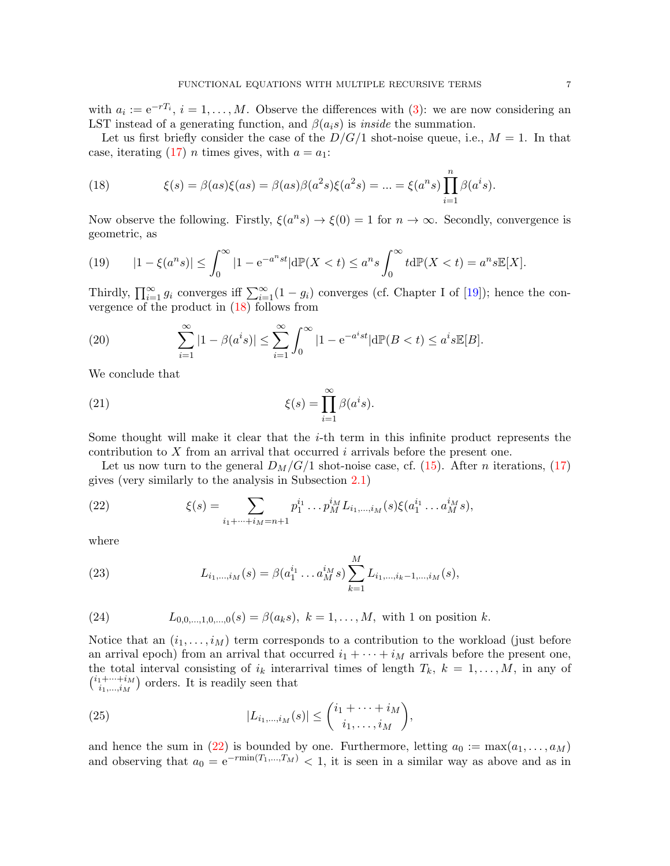with  $a_i := e^{-rT_i}$ ,  $i = 1, ..., M$ . Observe the differences with [\(3\)](#page-2-2): we are now considering an LST instead of a generating function, and  $\beta(a_i s)$  is *inside* the summation.

Let us first briefly consider the case of the  $D/G/1$  shot-noise queue, i.e.,  $M = 1$ . In that case, iterating [\(17\)](#page-6-2) *n* times gives, with  $a = a_1$ :

<span id="page-7-0"></span>(18) 
$$
\xi(s) = \beta(as)\xi(as) = \beta(as)\beta(a^2s)\xi(a^2s) = ... = \xi(a^ns)\prod_{i=1}^n \beta(a^is).
$$

Now observe the following. Firstly,  $\xi(a^n s) \to \xi(0) = 1$  for  $n \to \infty$ . Secondly, convergence is geometric, as

(19) 
$$
|1 - \xi(a^n s)| \le \int_0^\infty |1 - e^{-a^n s t}| d\mathbb{P}(X < t) \le a^n s \int_0^\infty t d\mathbb{P}(X < t) = a^n s \mathbb{E}[X].
$$

Thirdly,  $\prod_{i=1}^{\infty} g_i$  converges iff  $\sum_{i=1}^{\infty} (1 - g_i)$  converges (cf. Chapter I of [\[19\]](#page-14-4)); hence the convergence of the product in [\(18\)](#page-7-0) follows from

(20) 
$$
\sum_{i=1}^{\infty} |1 - \beta(a^i s)| \le \sum_{i=1}^{\infty} \int_0^{\infty} |1 - e^{-a^i s t}| d\mathbb{P}(B < t) \le a^i s \mathbb{E}[B].
$$

We conclude that

(21) 
$$
\xi(s) = \prod_{i=1}^{\infty} \beta(a^i s).
$$

Some thought will make it clear that the  $i$ -th term in this infinite product represents the contribution to X from an arrival that occurred i arrivals before the present one.

Let us now turn to the general  $D_M/G/1$  shot-noise case, cf. [\(15\)](#page-6-3). After *n* iterations, [\(17\)](#page-6-2) gives (very similarly to the analysis in Subsection [2.1\)](#page-2-1)

<span id="page-7-1"></span>(22) 
$$
\xi(s) = \sum_{i_1 + \dots + i_M = n+1} p_1^{i_1} \dots p_M^{i_M} L_{i_1, \dots, i_M}(s) \xi(a_1^{i_1} \dots a_M^{i_M} s),
$$

where

(23) 
$$
L_{i_1,\dots,i_M}(s) = \beta(a_1^{i_1} \dots a_M^{i_M} s) \sum_{k=1}^M L_{i_1,\dots,i_k-1,\dots,i_M}(s),
$$

(24) 
$$
L_{0,0,...,1,0,...,0}(s) = \beta(a_k s), k = 1,...,M
$$
, with 1 on position k.

Notice that an  $(i_1, \ldots, i_M)$  term corresponds to a contribution to the workload (just before an arrival epoch) from an arrival that occurred  $i_1 + \cdots + i_M$  arrivals before the present one, the total interval consisting of  $i_k$  interarrival times of length  $T_k$ ,  $k = 1, \ldots, M$ , in any of  $\binom{i_1+\cdots+i_M}{i_1+i_M}$  $\binom{n+\cdots+i_M}{i_1,\ldots,i_M}$  orders. It is readily seen that

(25) 
$$
|L_{i_1,...,i_M}(s)| \leq {i_1 + \cdots + i_M \choose i_1,...,i_M},
$$

and hence the sum in [\(22\)](#page-7-1) is bounded by one. Furthermore, letting  $a_0 := \max(a_1, \ldots, a_M)$ and observing that  $a_0 = e^{-r\min(T_1,...,T_M)} < 1$ , it is seen in a similar way as above and as in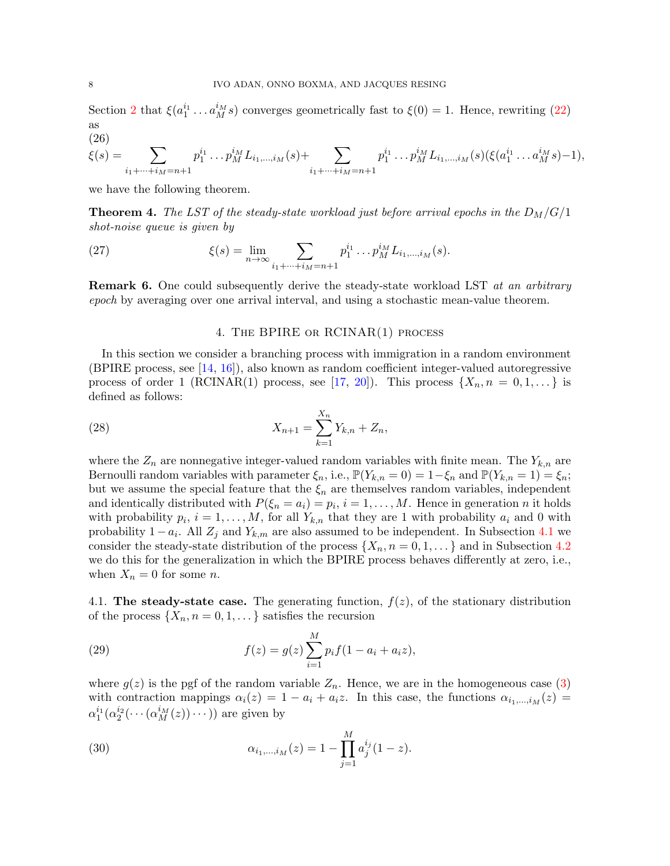Section [2](#page-2-0) that  $\xi(a_1^{i_1} \ldots a_M^{i_M} s)$  converges geometrically fast to  $\xi(0) = 1$ . Hence, rewriting [\(22\)](#page-7-1) as

(26)

$$
\xi(s) = \sum_{i_1 + \dots + i_M = n+1} p_1^{i_1} \dots p_M^{i_M} L_{i_1, \dots, i_M}(s) + \sum_{i_1 + \dots + i_M = n+1} p_1^{i_1} \dots p_M^{i_M} L_{i_1, \dots, i_M}(s) (\xi(a_1^{i_1} \dots a_M^{i_M} s) - 1),
$$

we have the following theorem.

**Theorem 4.** The LST of the steady-state workload just before arrival epochs in the  $D_M/G/1$ shot-noise queue is given by

(27) 
$$
\xi(s) = \lim_{n \to \infty} \sum_{i_1 + \dots + i_M = n+1} p_1^{i_1} \dots p_M^{i_M} L_{i_1, \dots, i_M}(s).
$$

**Remark 6.** One could subsequently derive the steady-state workload LST at an arbitrary epoch by averaging over one arrival interval, and using a stochastic mean-value theorem.

## 4. The BPIRE or RCINAR(1) process

<span id="page-8-0"></span>In this section we consider a branching process with immigration in a random environment (BPIRE process, see  $[14, 16]$  $[14, 16]$  $[14, 16]$ ), also known as random coefficient integer-valued autoregressive process of order 1 (RCINAR(1) process, see [\[17,](#page-14-11) [20\]](#page-14-12)). This process  $\{X_n, n = 0, 1, ...\}$  is defined as follows:

(28) 
$$
X_{n+1} = \sum_{k=1}^{X_n} Y_{k,n} + Z_n,
$$

where the  $Z_n$  are nonnegative integer-valued random variables with finite mean. The  $Y_{k,n}$  are Bernoulli random variables with parameter  $\xi_n$ , i.e.,  $\mathbb{P}(Y_{k,n} = 0) = 1 - \xi_n$  and  $\mathbb{P}(Y_{k,n} = 1) = \xi_n$ ; but we assume the special feature that the  $\xi_n$  are themselves random variables, independent and identically distributed with  $P(\xi_n = a_i) = p_i$ ,  $i = 1, ..., M$ . Hence in generation n it holds with probability  $p_i$ ,  $i = 1, ..., M$ , for all  $Y_{k,n}$  that they are 1 with probability  $a_i$  and 0 with probability  $1 - a_i$ . All  $Z_j$  and  $Y_{k,m}$  are also assumed to be independent. In Subsection [4.1](#page-8-1) we consider the steady-state distribution of the process  $\{X_n, n = 0, 1, \ldots\}$  and in Subsection [4.2](#page-9-0) we do this for the generalization in which the BPIRE process behaves differently at zero, i.e., when  $X_n = 0$  for some *n*.

<span id="page-8-1"></span>4.1. The steady-state case. The generating function,  $f(z)$ , of the stationary distribution of the process  $\{X_n, n = 0, 1, \dots\}$  satisfies the recursion

(29) 
$$
f(z) = g(z) \sum_{i=1}^{M} p_i f(1 - a_i + a_i z),
$$

where  $g(z)$  is the pgf of the random variable  $Z_n$ . Hence, we are in the homogeneous case [\(3\)](#page-2-2) with contraction mappings  $\alpha_i(z) = 1 - a_i + a_i z$ . In this case, the functions  $\alpha_{i_1,\dots,i_M}(z) =$  $\alpha_1^{i_1}(\alpha_2^{i_2}(\cdots(\alpha_M^{i_M}(z))\cdots))$  are given by

(30) 
$$
\alpha_{i_1,\dots,i_M}(z) = 1 - \prod_{j=1}^M a_j^{i_j} (1-z).
$$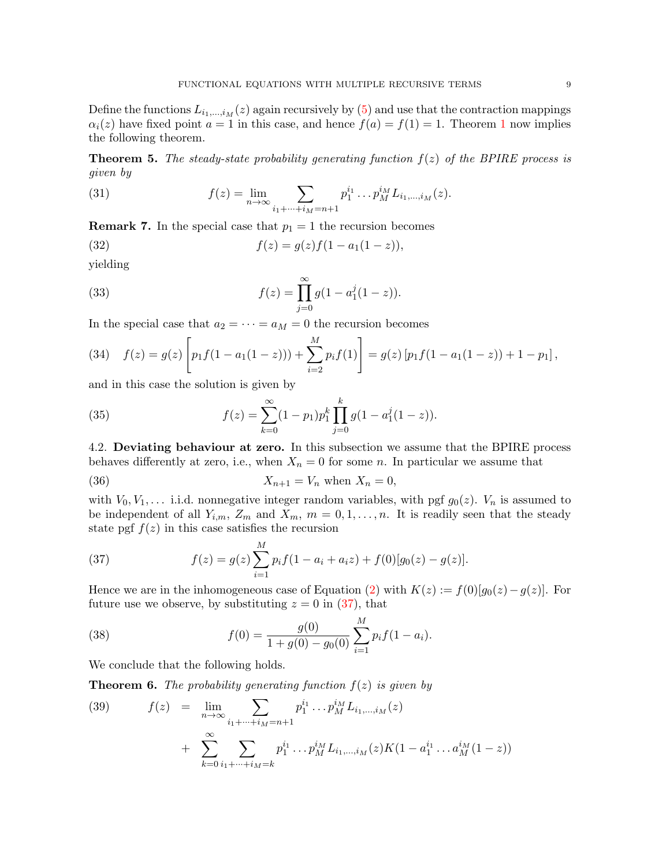Define the functions  $L_{i_1,\dots,i_M}(z)$  again recursively by [\(5\)](#page-3-3) and use that the contraction mappings  $\alpha_i(z)$  have fixed point  $a = 1$  $a = 1$  in this case, and hence  $f(a) = f(1) = 1$ . Theorem 1 now implies the following theorem.

**Theorem 5.** The steady-state probability generating function  $f(z)$  of the BPIRE process is given by

(31) 
$$
f(z) = \lim_{n \to \infty} \sum_{i_1 + \dots + i_M = n+1} p_1^{i_1} \dots p_M^{i_M} L_{i_1, \dots, i_M}(z).
$$

**Remark 7.** In the special case that  $p_1 = 1$  the recursion becomes

(32) 
$$
f(z) = g(z)f(1 - a_1(1 - z)),
$$

yielding

(33) 
$$
f(z) = \prod_{j=0}^{\infty} g(1 - a_1^j(1-z)).
$$

In the special case that  $a_2 = \cdots = a_M = 0$  the recursion becomes

(34) 
$$
f(z) = g(z) \left[ p_1 f(1 - a_1(1 - z))) + \sum_{i=2}^{M} p_i f(1) \right] = g(z) \left[ p_1 f(1 - a_1(1 - z)) + 1 - p_1 \right],
$$

and in this case the solution is given by

(35) 
$$
f(z) = \sum_{k=0}^{\infty} (1-p_1) p_1^k \prod_{j=0}^k g(1-a_1^j(1-z)).
$$

<span id="page-9-0"></span>4.2. Deviating behaviour at zero. In this subsection we assume that the BPIRE process behaves differently at zero, i.e., when  $X_n = 0$  for some n. In particular we assume that

$$
(36) \t\t X_{n+1} = V_n \t when X_n = 0,
$$

with  $V_0, V_1, \ldots$  i.i.d. nonnegative integer random variables, with pgf  $g_0(z)$ .  $V_n$  is assumed to be independent of all  $Y_{i,m}$ ,  $Z_m$  and  $X_m$ ,  $m = 0, 1, \ldots, n$ . It is readily seen that the steady state pgf  $f(z)$  in this case satisfies the recursion

<span id="page-9-1"></span>(37) 
$$
f(z) = g(z) \sum_{i=1}^{M} p_i f(1 - a_i + a_i z) + f(0) [g_0(z) - g(z)].
$$

Hence we are in the inhomogeneous case of Equation [\(2\)](#page-1-1) with  $K(z) := f(0)[g_0(z) - g(z)]$ . For future use we observe, by substituting  $z = 0$  in [\(37\)](#page-9-1), that

<span id="page-9-3"></span>(38) 
$$
f(0) = \frac{g(0)}{1 + g(0) - g_0(0)} \sum_{i=1}^{M} p_i f(1 - a_i).
$$

We conclude that the following holds.

**Theorem 6.** The probability generating function  $f(z)$  is given by

<span id="page-9-2"></span>(39) 
$$
f(z) = \lim_{n \to \infty} \sum_{i_1 + \dots + i_M = n+1} p_1^{i_1} \dots p_M^{i_M} L_{i_1, \dots, i_M}(z) + \sum_{k=0}^{\infty} \sum_{i_1 + \dots + i_M = k} p_1^{i_1} \dots p_M^{i_M} L_{i_1, \dots, i_M}(z) K(1 - a_1^{i_1} \dots a_M^{i_M}(1 - z))
$$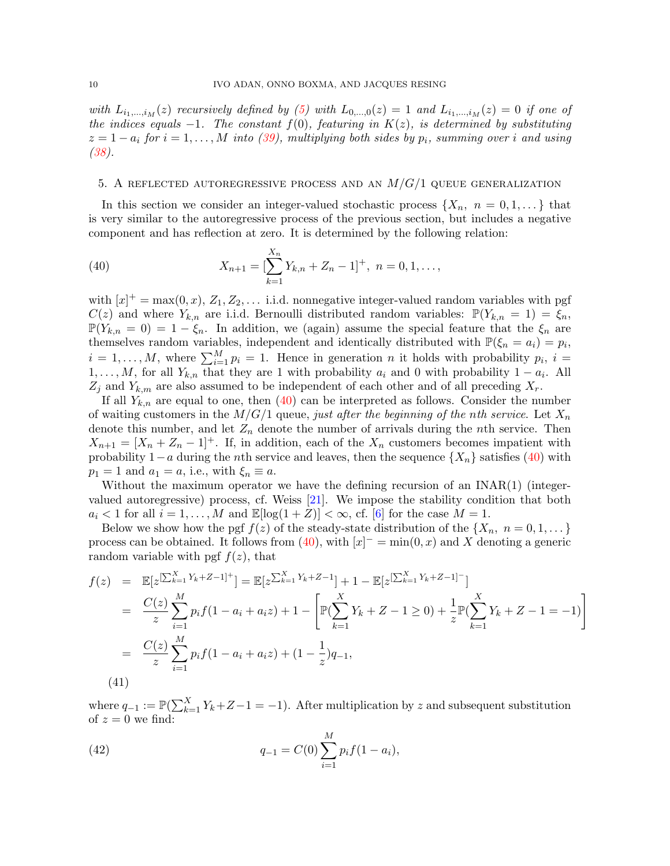with  $L_{i_1,\dots,i_M}(z)$  recursively defined by [\(5\)](#page-3-3) with  $L_{0,\dots,0}(z) = 1$  and  $L_{i_1,\dots,i_M}(z) = 0$  if one of the indices equals  $-1$ . The constant  $f(0)$ , featuring in  $K(z)$ , is determined by substituting  $z = 1 - a_i$  for  $i = 1, ..., M$  into [\(39\)](#page-9-2), multiplying both sides by  $p_i$ , summing over i and using [\(38\)](#page-9-3).

### <span id="page-10-0"></span>5. A REFLECTED AUTOREGRESSIVE PROCESS AND AN  $M/G/1$  queue generalization

In this section we consider an integer-valued stochastic process  $\{X_n, n = 0, 1, ...\}$  that is very similar to the autoregressive process of the previous section, but includes a negative component and has reflection at zero. It is determined by the following relation:

<span id="page-10-1"></span>(40) 
$$
X_{n+1} = \left[\sum_{k=1}^{X_n} Y_{k,n} + Z_n - 1\right]^+, \ n = 0, 1, \dots,
$$

with  $[x]^+$  = max(0, x),  $Z_1, Z_2, \ldots$  i.i.d. nonnegative integer-valued random variables with pgf  $C(z)$  and where  $Y_{k,n}$  are i.i.d. Bernoulli distributed random variables:  $\mathbb{P}(Y_{k,n} = 1) = \xi_n$ ,  $\mathbb{P}(Y_{k,n} = 0) = 1 - \xi_n$ . In addition, we (again) assume the special feature that the  $\xi_n$  are themselves random variables, independent and identically distributed with  $\mathbb{P}(\xi_n = a_i) = p_i$ ,  $i = 1, \ldots, M$ , where  $\sum_{i=1}^{M} p_i = 1$ . Hence in generation n it holds with probability  $p_i$ ,  $i =$  $1, \ldots, M$ , for all  $Y_{k,n}$  that they are 1 with probability  $a_i$  and 0 with probability  $1 - a_i$ . All  $Z_j$  and  $Y_{k,m}$  are also assumed to be independent of each other and of all preceding  $X_r$ .

If all  $Y_{k,n}$  are equal to one, then [\(40\)](#page-10-1) can be interpreted as follows. Consider the number of waiting customers in the  $M/G/1$  queue, just after the beginning of the nth service. Let  $X_n$ denote this number, and let  $Z_n$  denote the number of arrivals during the *n*th service. Then  $X_{n+1} = [X_n + Z_n - 1]^+$ . If, in addition, each of the  $X_n$  customers becomes impatient with probability  $1-a$  during the nth service and leaves, then the sequence  $\{X_n\}$  satisfies [\(40\)](#page-10-1) with  $p_1 = 1$  and  $a_1 = a$ , i.e., with  $\xi_n \equiv a$ .

Without the maximum operator we have the defining recursion of an INAR(1) (integervalued autoregressive) process, cf. Weiss [\[21\]](#page-14-13). We impose the stability condition that both  $a_i < 1$  for all  $i = 1, \ldots, M$  and  $\mathbb{E}[\log(1+Z)] < \infty$ , cf. [\[6\]](#page-14-14) for the case  $M = 1$ .

Below we show how the pgf  $f(z)$  of the steady-state distribution of the  $\{X_n, n = 0, 1, \dots\}$ process can be obtained. It follows from [\(40\)](#page-10-1), with  $[x]^{-} = \min(0, x)$  and X denoting a generic random variable with pgf  $f(z)$ , that

<span id="page-10-2"></span>
$$
f(z) = \mathbb{E}[z^{\sum_{k=1}^{X} Y_k + Z - 1}]^{+}] = \mathbb{E}[z^{\sum_{k=1}^{X} Y_k + Z - 1}] + 1 - \mathbb{E}[z^{\sum_{k=1}^{X} Y_k + Z - 1}]^{-}]
$$
  
\n
$$
= \frac{C(z)}{z} \sum_{i=1}^{M} p_i f(1 - a_i + a_i z) + 1 - \left[ \mathbb{P}(\sum_{k=1}^{X} Y_k + Z - 1 \ge 0) + \frac{1}{z} \mathbb{P}(\sum_{k=1}^{X} Y_k + Z - 1 = -1) \right]
$$
  
\n
$$
= \frac{C(z)}{z} \sum_{i=1}^{M} p_i f(1 - a_i + a_i z) + (1 - \frac{1}{z}) q_{-1},
$$
  
\n(41)

where  $q_{-1} := \mathbb{P}(\sum_{k=1}^{X} Y_k + Z - 1 = -1)$ . After multiplication by z and subsequent substitution of  $z = 0$  we find:

(42) 
$$
q_{-1} = C(0) \sum_{i=1}^{M} p_i f(1 - a_i),
$$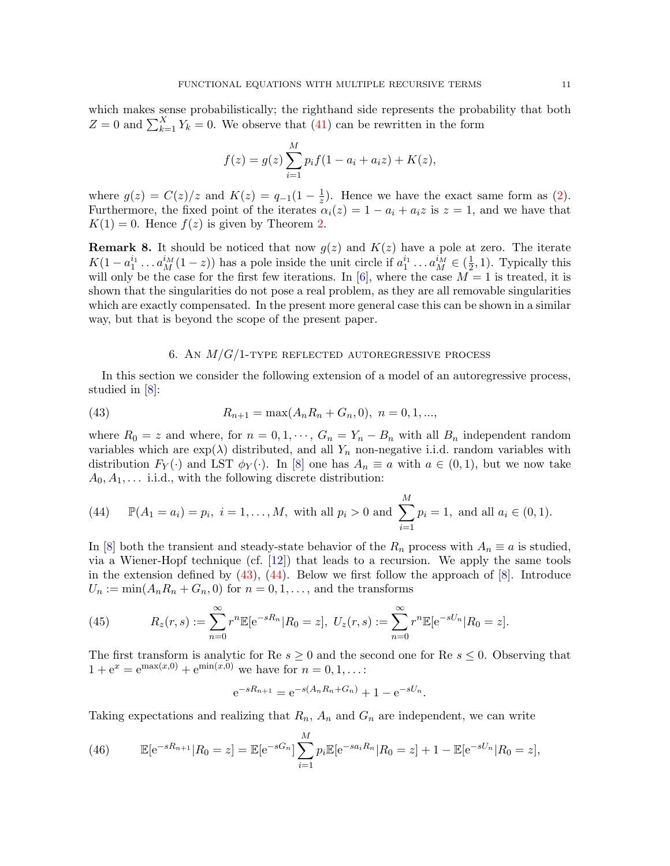which makes sense probabilistically; the righthand side represents the probability that both  $Z = 0$  and  $\sum_{k=1}^{X} Y_k = 0$ . We observe that [\(41\)](#page-10-2) can be rewritten in the form

$$
f(z) = g(z) \sum_{i=1}^{M} p_i f(1 - a_i + a_i z) + K(z),
$$

where  $g(z) = C(z)/z$  and  $K(z) = q_{-1}(1 - \frac{1}{z})$  $\frac{1}{z}$ ). Hence we have the exact same form as [\(2\)](#page-1-1). Furthermore, the fixed point of the iterates  $\alpha_i(z) = 1 - a_i + a_i z$  is  $z = 1$ , and we have that  $K(1) = 0$ . Hence  $f(z)$  is given by Theorem [2.](#page-5-4)

**Remark 8.** It should be noticed that now  $g(z)$  and  $K(z)$  have a pole at zero. The iterate  $K(1-a_1^{i_1} \dots a_M^{i_M}(1-z))$  has a pole inside the unit circle if  $a_1^{i_1} \dots a_M^{i_M} \in (\frac{1}{2})$  $(\frac{1}{2}, 1)$ . Typically this will only be the case for the first few iterations. In [\[6\]](#page-14-14), where the case  $M = 1$  is treated, it is shown that the singularities do not pose a real problem, as they are all removable singularities which are exactly compensated. In the present more general case this can be shown in a similar way, but that is beyond the scope of the present paper.

# <span id="page-11-1"></span>6. AN  $M/G/1$ -type reflected autoregressive process

<span id="page-11-0"></span>In this section we consider the following extension of a model of an autoregressive process, studied in [\[8\]](#page-14-15):

(43) 
$$
R_{n+1} = \max(A_n R_n + G_n, 0), \quad n = 0, 1, \dots,
$$

where  $R_0 = z$  and where, for  $n = 0, 1, \dots, G_n = Y_n - B_n$  with all  $B_n$  independent random variables which are  $\exp(\lambda)$  distributed, and all  $Y_n$  non-negative i.i.d. random variables with distribution  $F_Y(\cdot)$  and LST  $\phi_Y(\cdot)$ . In [\[8\]](#page-14-15) one has  $A_n \equiv a$  with  $a \in (0,1)$ , but we now take  $A_0, A_1, \ldots$  i.i.d., with the following discrete distribution:

<span id="page-11-2"></span>(44) 
$$
\mathbb{P}(A_1 = a_i) = p_i, i = 1,..., M
$$
, with all  $p_i > 0$  and  $\sum_{i=1}^{M} p_i = 1$ , and all  $a_i \in (0,1)$ .

In [\[8\]](#page-14-15) both the transient and steady-state behavior of the  $R_n$  process with  $A_n \equiv a$  is studied, via a Wiener-Hopf technique (cf.  $[12]$ ) that leads to a recursion. We apply the same tools in the extension defined by  $(43)$ ,  $(44)$ . Below we first follow the approach of  $[8]$ . Introduce  $U_n := \min(A_n R_n + G_n, 0)$  for  $n = 0, 1, \ldots$ , and the transforms

(45) 
$$
R_z(r,s) := \sum_{n=0}^{\infty} r^n \mathbb{E}[e^{-sR_n} | R_0 = z], \ U_z(r,s) := \sum_{n=0}^{\infty} r^n \mathbb{E}[e^{-sU_n} | R_0 = z].
$$

The first transform is analytic for Re  $s \geq 0$  and the second one for Re  $s \leq 0$ . Observing that  $1 + e^x = e^{\max(x,0)} + e^{\min(x,0)}$  we have for  $n = 0, 1, ...$ :

$$
e^{-sR_{n+1}} = e^{-s(A_nR_n+G_n)} + 1 - e^{-sU_n}.
$$

Taking expectations and realizing that  $R_n$ ,  $A_n$  and  $G_n$  are independent, we can write

(46) 
$$
\mathbb{E}[e^{-sR_{n+1}}|R_0=z] = \mathbb{E}[e^{-sG_n}]\sum_{i=1}^M p_i \mathbb{E}[e^{-sa_iR_n}|R_0=z] + 1 - \mathbb{E}[e^{-sU_n}|R_0=z],
$$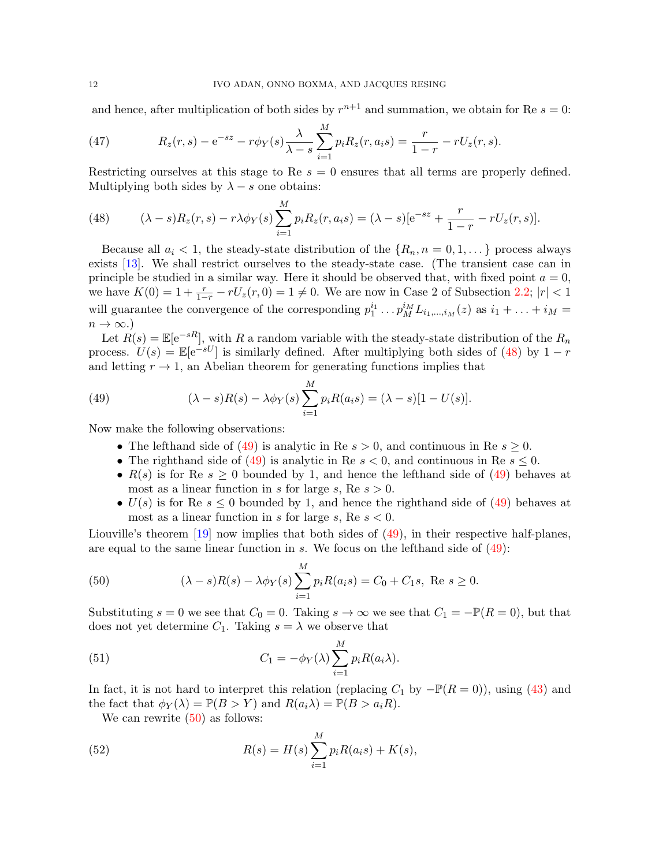and hence, after multiplication of both sides by  $r^{n+1}$  and summation, we obtain for Re  $s = 0$ :

(47) 
$$
R_z(r,s) - e^{-sz} - r\phi_Y(s)\frac{\lambda}{\lambda - s}\sum_{i=1}^M p_i R_z(r, a_i s) = \frac{r}{1 - r} - rU_z(r, s).
$$

Restricting ourselves at this stage to Re  $s = 0$  ensures that all terms are properly defined. Multiplying both sides by  $\lambda - s$  one obtains:

<span id="page-12-0"></span>(48) 
$$
(\lambda - s)R_z(r, s) - r\lambda \phi_Y(s) \sum_{i=1}^M p_i R_z(r, a_i s) = (\lambda - s)[e^{-sz} + \frac{r}{1 - r} - rU_z(r, s)].
$$

Because all  $a_i < 1$ , the steady-state distribution of the  $\{R_n, n = 0, 1, \ldots\}$  process always exists [\[13\]](#page-14-17). We shall restrict ourselves to the steady-state case. (The transient case can in principle be studied in a similar way. Here it should be observed that, with fixed point  $a = 0$ , we have  $K(0) = 1 + \frac{r}{1-r} - rU_z(r,0) = 1 \neq 0$ . We are now in Case 2 of Subsection [2.2;](#page-5-1)  $|r| < 1$ will guarantee the convergence of the corresponding  $p_1^{i_1} \ldots p_M^{i_M} L_{i_1,\ldots,i_M}(z)$  as  $i_1 + \ldots + i_M =$  $n \to \infty$ .)

Let  $R(s) = \mathbb{E}[e^{-sR}]$ , with R a random variable with the steady-state distribution of the  $R_n$ process.  $U(s) = \mathbb{E}[e^{-sU}]$  is similarly defined. After multiplying both sides of [\(48\)](#page-12-0) by  $1 - r$ and letting  $r \to 1$ , an Abelian theorem for generating functions implies that

(49) 
$$
(\lambda - s)R(s) - \lambda \phi_Y(s) \sum_{i=1}^M p_i R(a_i s) = (\lambda - s)[1 - U(s)].
$$

Now make the following observations:

- <span id="page-12-1"></span>• The lefthand side of [\(49\)](#page-12-1) is analytic in Re  $s > 0$ , and continuous in Re  $s > 0$ .
- The righthand side of [\(49\)](#page-12-1) is analytic in Re  $s < 0$ , and continuous in Re  $s \leq 0$ .
- $R(s)$  is for Re  $s \geq 0$  bounded by 1, and hence the lefthand side of [\(49\)](#page-12-1) behaves at most as a linear function in s for large s, Re  $s > 0$ .
- $U(s)$  is for Re  $s \leq 0$  bounded by 1, and hence the righthand side of [\(49\)](#page-12-1) behaves at most as a linear function in s for large s, Re  $s < 0$ .

Liouville's theorem [\[19\]](#page-14-4) now implies that both sides of [\(49\)](#page-12-1), in their respective half-planes, are equal to the same linear function in s. We focus on the lefthand side of  $(49)$ :

<span id="page-12-2"></span>(50) 
$$
(\lambda - s)R(s) - \lambda \phi_Y(s) \sum_{i=1}^M p_i R(a_i s) = C_0 + C_1 s, \text{ Re } s \ge 0.
$$

Substituting  $s = 0$  we see that  $C_0 = 0$ . Taking  $s \to \infty$  we see that  $C_1 = -\mathbb{P}(R = 0)$ , but that does not yet determine  $C_1$ . Taking  $s = \lambda$  we observe that

<span id="page-12-4"></span>(51) 
$$
C_1 = -\phi_Y(\lambda) \sum_{i=1}^M p_i R(a_i \lambda).
$$

In fact, it is not hard to interpret this relation (replacing  $C_1$  by  $-\mathbb{P}(R=0)$ ), using [\(43\)](#page-11-1) and the fact that  $\phi_Y(\lambda) = \mathbb{P}(B > Y)$  and  $R(a_i \lambda) = \mathbb{P}(B > a_i R)$ .

<span id="page-12-3"></span>We can rewrite  $(50)$  as follows:

(52) 
$$
R(s) = H(s) \sum_{i=1}^{M} p_i R(a_i s) + K(s),
$$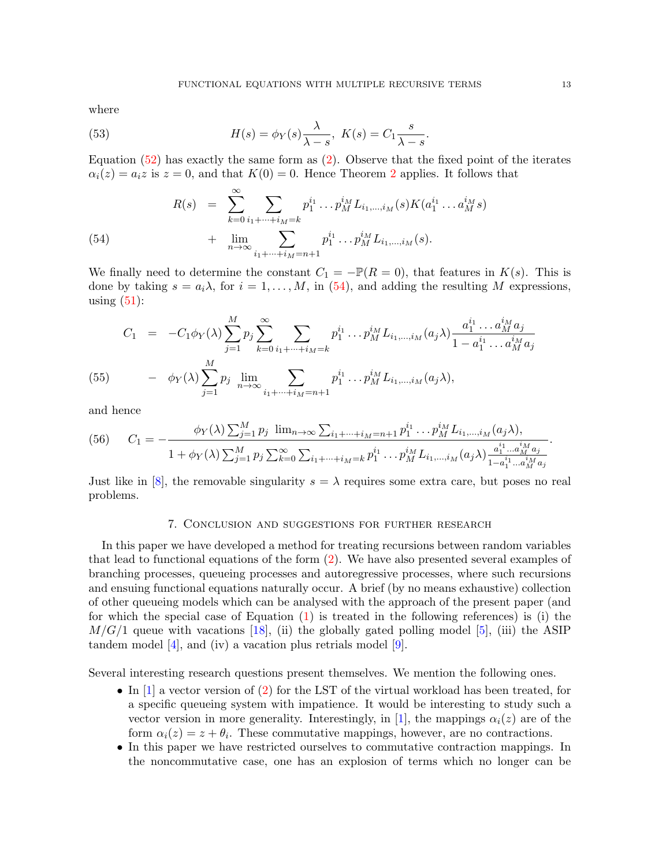where

(53) 
$$
H(s) = \phi_Y(s) \frac{\lambda}{\lambda - s}, \ K(s) = C_1 \frac{s}{\lambda - s}.
$$

Equation  $(52)$  has exactly the same form as  $(2)$ . Observe that the fixed point of the iterates  $\alpha_i(z) = a_i z$  is  $z = 0$ , and that  $K(0) = 0$ . Hence Theorem [2](#page-5-4) applies. It follows that

<span id="page-13-1"></span>(54) 
$$
R(s) = \sum_{k=0}^{\infty} \sum_{i_1 + \dots + i_M = k} p_1^{i_1} \dots p_M^{i_M} L_{i_1, \dots, i_M}(s) K(a_1^{i_1} \dots a_M^{i_M} s) + \lim_{n \to \infty} \sum_{i_1 + \dots + i_M = n+1} p_1^{i_1} \dots p_M^{i_M} L_{i_1, \dots, i_M}(s).
$$

We finally need to determine the constant  $C_1 = -\mathbb{P}(R = 0)$ , that features in  $K(s)$ . This is done by taking  $s = a_i \lambda$ , for  $i = 1, ..., M$ , in [\(54\)](#page-13-1), and adding the resulting M expressions, using  $(51)$ :

(55) 
$$
C_1 = -C_1 \phi_Y(\lambda) \sum_{j=1}^M p_j \sum_{k=0}^\infty \sum_{i_1 + \dots + i_M = k} p_1^{i_1} \dots p_M^{i_M} L_{i_1, \dots, i_M}(a_j \lambda) \frac{a_1^{i_1} \dots a_M^{i_M} a_j}{1 - a_1^{i_1} \dots a_M^{i_M} a_j}
$$

$$
- \phi_Y(\lambda) \sum_{j=1}^M p_j \lim_{n \to \infty} \sum_{i_1 + \dots + i_M = n+1} p_1^{i_1} \dots p_M^{i_M} L_{i_1, \dots, i_M}(a_j \lambda),
$$

and hence

(56) 
$$
C_1 = -\frac{\phi_Y(\lambda) \sum_{j=1}^M p_j \lim_{n \to \infty} \sum_{i_1 + \dots + i_M = n+1} p_1^{i_1} \dots p_M^{i_M} L_{i_1, \dots, i_M}(a_j \lambda),}{1 + \phi_Y(\lambda) \sum_{j=1}^M p_j \sum_{k=0}^\infty \sum_{i_1 + \dots + i_M = k} p_1^{i_1} \dots p_M^{i_M} L_{i_1, \dots, i_M}(a_j \lambda) \frac{a_1^{i_1} \dots a_M^{i_M} a_j}{1 - a_1^{i_1} \dots a_M^{i_M} a_j}}.
$$

Just like in [\[8\]](#page-14-15), the removable singularity  $s = \lambda$  requires some extra care, but poses no real problems.

#### 7. Conclusion and suggestions for further research

<span id="page-13-0"></span>In this paper we have developed a method for treating recursions between random variables that lead to functional equations of the form [\(2\)](#page-1-1). We have also presented several examples of branching processes, queueing processes and autoregressive processes, where such recursions and ensuing functional equations naturally occur. A brief (by no means exhaustive) collection of other queueing models which can be analysed with the approach of the present paper (and for which the special case of Equation [\(1\)](#page-1-0) is treated in the following references) is (i) the  $M/G/1$  queue with vacations [\[18\]](#page-14-0), (ii) the globally gated polling model [\[5\]](#page-14-18), (iii) the ASIP tandem model [\[4\]](#page-14-19), and (iv) a vacation plus retrials model [\[9\]](#page-14-20).

Several interesting research questions present themselves. We mention the following ones.

- In [\[1\]](#page-14-3) a vector version of [\(2\)](#page-1-1) for the LST of the virtual workload has been treated, for a specific queueing system with impatience. It would be interesting to study such a vector version in more generality. Interestingly, in [\[1\]](#page-14-3), the mappings  $\alpha_i(z)$  are of the form  $\alpha_i(z) = z + \theta_i$ . These commutative mappings, however, are no contractions.
- In this paper we have restricted ourselves to commutative contraction mappings. In the noncommutative case, one has an explosion of terms which no longer can be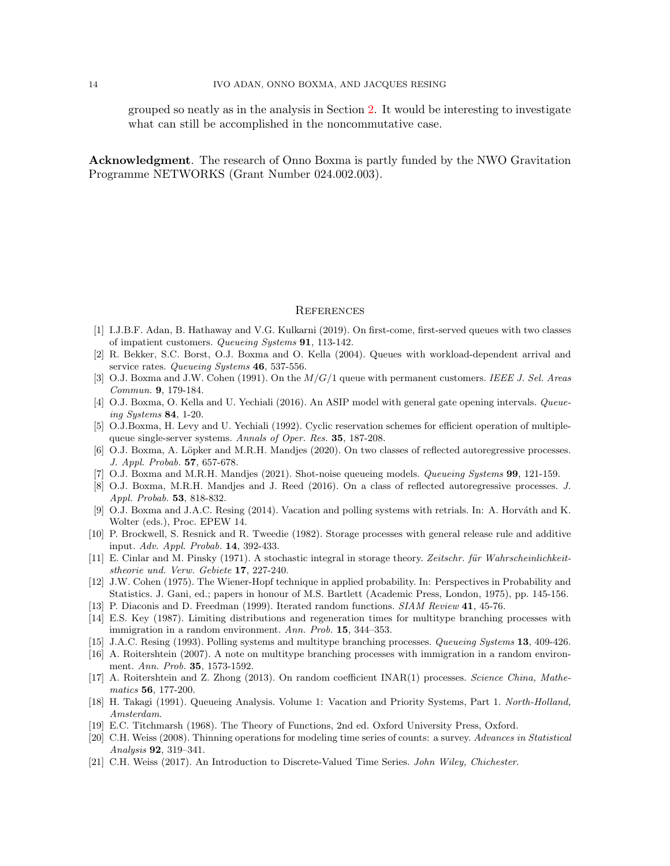grouped so neatly as in the analysis in Section [2.](#page-2-0) It would be interesting to investigate what can still be accomplished in the noncommutative case.

Acknowledgment. The research of Onno Boxma is partly funded by the NWO Gravitation Programme NETWORKS (Grant Number 024.002.003).

#### **REFERENCES**

- <span id="page-14-3"></span>[1] I.J.B.F. Adan, B. Hathaway and V.G. Kulkarni (2019). On first-come, first-served queues with two classes of impatient customers. Queueing Systems 91, 113-142.
- <span id="page-14-6"></span>[2] R. Bekker, S.C. Borst, O.J. Boxma and O. Kella (2004). Queues with workload-dependent arrival and service rates. Queueing Systems 46, 537-556.
- <span id="page-14-1"></span>[3] O.J. Boxma and J.W. Cohen (1991). On the  $M/G/1$  queue with permanent customers. IEEE J. Sel. Areas Commun. 9, 179-184.
- <span id="page-14-19"></span>[4] O.J. Boxma, O. Kella and U. Yechiali (2016). An ASIP model with general gate opening intervals. Queueing Systems 84, 1-20.
- <span id="page-14-18"></span>[5] O.J.Boxma, H. Levy and U. Yechiali (1992). Cyclic reservation schemes for efficient operation of multiplequeue single-server systems. Annals of Oper. Res. 35, 187-208.
- <span id="page-14-14"></span>[6] O.J. Boxma, A. Löpker and M.R.H. Mandjes (2020). On two classes of reflected autoregressive processes. J. Appl. Probab. 57, 657-678.
- <span id="page-14-5"></span>[7] O.J. Boxma and M.R.H. Mandjes (2021). Shot-noise queueing models. Queueing Systems 99, 121-159.
- <span id="page-14-15"></span>[8] O.J. Boxma, M.R.H. Mandjes and J. Reed (2016). On a class of reflected autoregressive processes. J. Appl. Probab. 53, 818-832.
- <span id="page-14-20"></span>[9] O.J. Boxma and J.A.C. Resing (2014). Vacation and polling systems with retrials. In: A. Horváth and K. Wolter (eds.), Proc. EPEW 14.
- <span id="page-14-8"></span>[10] P. Brockwell, S. Resnick and R. Tweedie (1982). Storage processes with general release rule and additive input. Adv. Appl. Probab. 14, 392-433.
- <span id="page-14-7"></span>[11] E. Cinlar and M. Pinsky (1971). A stochastic integral in storage theory. Zeitschr. für Wahrscheinlichkeitstheorie und. Verw. Gebiete 17, 227-240.
- <span id="page-14-16"></span>[12] J.W. Cohen (1975). The Wiener-Hopf technique in applied probability. In: Perspectives in Probability and Statistics. J. Gani, ed.; papers in honour of M.S. Bartlett (Academic Press, London, 1975), pp. 145-156.
- <span id="page-14-17"></span>[13] P. Diaconis and D. Freedman (1999). Iterated random functions. SIAM Review 41, 45-76.
- <span id="page-14-9"></span>[14] E.S. Key (1987). Limiting distributions and regeneration times for multitype branching processes with immigration in a random environment. Ann. Prob. 15, 344–353.
- <span id="page-14-2"></span>[15] J.A.C. Resing (1993). Polling systems and multitype branching processes. Queueing Systems 13, 409-426.
- <span id="page-14-10"></span>[16] A. Roitershtein (2007). A note on multitype branching processes with immigration in a random environment. Ann. Prob. 35, 1573-1592.
- <span id="page-14-11"></span>[17] A. Roitershtein and Z. Zhong (2013). On random coefficient INAR(1) processes. Science China, Mathematics 56, 177-200.
- <span id="page-14-0"></span>[18] H. Takagi (1991). Queueing Analysis. Volume 1: Vacation and Priority Systems, Part 1. North-Holland, Amsterdam.
- <span id="page-14-4"></span>[19] E.C. Titchmarsh (1968). The Theory of Functions, 2nd ed. Oxford University Press, Oxford.
- <span id="page-14-12"></span>[20] C.H. Weiss (2008). Thinning operations for modeling time series of counts: a survey. Advances in Statistical Analysis 92, 319–341.
- <span id="page-14-13"></span>[21] C.H. Weiss (2017). An Introduction to Discrete-Valued Time Series. John Wiley, Chichester.